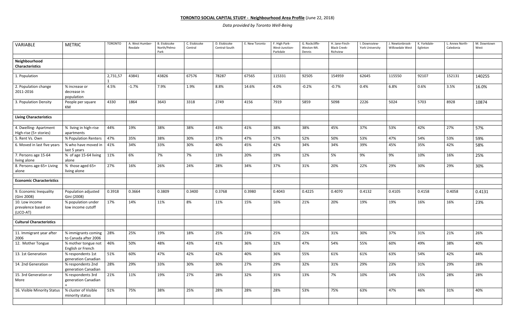## **TORONTO SOCIAL CAPITAL STUDY - Neighbourhood Area Profile** (June 22, 2018)

*Data provided by Toronto Well-Being*

| VARIABLE                                           | <b>METRIC</b>                               | <b>TORONTO</b> | A. West Humber-<br>Rexdale | <b>B.</b> Etobicoke<br>North/Pelmo<br>Park | C. Etobicoke<br>Central | D. Etobicoke<br>Central-South | E. New Toronto | F. High Park-<br>West-Junction-<br>Parkdale | G. Rockcliffe-<br>Weston-Mt.<br>Dennis | H. Jane-Finch-<br><b>Black Creek-</b><br>Richview | I. Downsview-<br><b>York University</b> | J. Newtonbrook-<br>Willowdale West | K. Yorkdale-<br>Eglinton | L. Annex North-<br>Caledonia | M. Downtown<br>West |
|----------------------------------------------------|---------------------------------------------|----------------|----------------------------|--------------------------------------------|-------------------------|-------------------------------|----------------|---------------------------------------------|----------------------------------------|---------------------------------------------------|-----------------------------------------|------------------------------------|--------------------------|------------------------------|---------------------|
| Neighbourhood                                      |                                             |                |                            |                                            |                         |                               |                |                                             |                                        |                                                   |                                         |                                    |                          |                              |                     |
| <b>Characteristics</b>                             |                                             |                |                            |                                            |                         |                               |                |                                             |                                        |                                                   |                                         |                                    |                          |                              |                     |
|                                                    |                                             |                |                            |                                            |                         |                               |                |                                             |                                        |                                                   |                                         |                                    |                          |                              |                     |
| 1. Population                                      |                                             | 2,731,57       | 43841                      | 43826                                      | 67576                   | 78287                         | 67565          | 115331                                      | 92505                                  | 154959                                            | 62645                                   | 115550                             | 92107                    | 152131                       | 140255              |
| 2. Population change<br>2011-2016                  | % increase or<br>decrease in<br>population  | 4.5%           | $-1.7%$                    | 7.9%                                       | 1.9%                    | 8.8%                          | 14.6%          | 4.0%                                        | $-0.2%$                                | $-0.7%$                                           | 0.4%                                    | 6.8%                               | 0.6%                     | 3.5%                         | 16.0%               |
| 3. Population Density                              | People per square<br>KM                     | 4330           | 1864                       | 3643                                       | 3318                    | 2749                          | 4156           | 7919                                        | 5859                                   | 5098                                              | 2226                                    | 5024                               | 5703                     | 8928                         | 10874               |
| <b>Living Characteristics</b>                      |                                             |                |                            |                                            |                         |                               |                |                                             |                                        |                                                   |                                         |                                    |                          |                              |                     |
|                                                    |                                             |                |                            |                                            |                         |                               |                |                                             |                                        |                                                   |                                         |                                    |                          |                              |                     |
| 4. Dwelling-Apartment<br>High-rise (5+ stories)    | % living in high-rise<br>apartments         | 44%            | 19%                        | 38%                                        | 38%                     | 43%                           | 41%            | 38%                                         | 38%                                    | 45%                                               | 37%                                     | 53%                                | 42%                      | 27%                          | 57%                 |
| 5. Rent Vs. Own                                    | % Population Renters                        | 47%            | 35%                        | 38%                                        | 30%                     | 37%                           | 47%            | 57%                                         | 52%                                    | 50%                                               | 53%                                     | 47%                                | 54%                      | 53%                          | 59%                 |
| 6. Moved in last five years                        | % who have moved in<br>last 5 years         | 41%            | 34%                        | 33%                                        | 30%                     | 40%                           | 45%            | 42%                                         | 34%                                    | 34%                                               | 39%                                     | 45%                                | 35%                      | 42%                          | 58%                 |
| 7. Persons age 15-64                               | % of age 15-64 living                       | 11%            | 6%                         | 7%                                         | 7%                      | 13%                           | 20%            | 19%                                         | 12%                                    | 5%                                                | 9%                                      | 9%                                 | 10%                      | 16%                          | 25%                 |
| living alone                                       | alone                                       |                |                            |                                            |                         |                               |                |                                             |                                        |                                                   |                                         |                                    |                          |                              |                     |
| 8. Persons age 65+ Living<br>alone                 | % those aged 65+<br>living alone            | 27%            | 16%                        | 26%                                        | 24%                     | 28%                           | 34%            | 37%                                         | 31%                                    | 20%                                               | 22%                                     | 29%                                | 30%                      | 29%                          | 30%                 |
| <b>Economic Characteristics</b>                    |                                             |                |                            |                                            |                         |                               |                |                                             |                                        |                                                   |                                         |                                    |                          |                              |                     |
|                                                    |                                             |                |                            |                                            |                         |                               |                |                                             |                                        |                                                   |                                         |                                    |                          |                              |                     |
| 9. Economic Inequality<br>(Gini 2008)              | Population adjusted<br>Gini (2008)          | 0.3918         | 0.3664                     | 0.3809                                     | 0.3400                  | 0.3768                        | 0.3980         | 0.4043                                      | 0.4225                                 | 0.4070                                            | 0.4132                                  | 0.4105                             | 0.4158                   | 0.4058                       | 0.4131              |
| 10. Low income<br>prevalence based on<br>(LICO-AT) | % population under<br>low income cutoff     | 17%            | 14%                        | 11%                                        | 8%                      | 11%                           | 15%            | 16%                                         | 21%                                    | 20%                                               | 19%                                     | 19%                                | 16%                      | 16%                          | 23%                 |
|                                                    |                                             |                |                            |                                            |                         |                               |                |                                             |                                        |                                                   |                                         |                                    |                          |                              |                     |
| <b>Cultural Characteristics</b>                    |                                             |                |                            |                                            |                         |                               |                |                                             |                                        |                                                   |                                         |                                    |                          |                              |                     |
|                                                    |                                             |                | 25%                        | 19%                                        | 18%                     | 25%                           | 23%            | 25%                                         | 22%                                    | 31%                                               | 30%                                     | 37%                                | 31%                      | 21%                          | 26%                 |
| 11. Immigrant year after<br>2006                   | % immigrants coming<br>to Canada after 2006 | 28%            |                            |                                            |                         |                               |                |                                             |                                        |                                                   |                                         |                                    |                          |                              |                     |
| 12. Mother Tongue                                  | % mother tongue not<br>English or French    | 46%            | 50%                        | 48%                                        | 43%                     | 41%                           | 36%            | 32%                                         | 47%                                    | 54%                                               | 55%                                     | 60%                                | 49%                      | 38%                          | 40%                 |
| 13. 1st Generation                                 | % respondents 1st<br>generation Canadian    | 51%            | 60%                        | 47%                                        | 42%                     | 42%                           | 40%            | 36%                                         | 55%                                    | 61%                                               | 61%                                     | 63%                                | 54%                      | 42%                          | 44%                 |
| 14. 2nd Generation                                 | % respondents 2nd                           | 28%            | 29%                        | 33%                                        | 30%                     | 30%                           | 27%            | 29%                                         | 32%                                    | 31%                                               | 29%                                     | 23%                                | 31%                      | 29%                          | 28%                 |
|                                                    | generation Canadian                         |                |                            |                                            |                         |                               |                |                                             |                                        |                                                   |                                         |                                    |                          |                              |                     |
| 15. 3rd Generation or<br>More                      | % respondents 3rd<br>generation Canadian    | 21%            | 11%                        | 19%                                        | 27%                     | 28%                           | 32%            | 35%                                         | 13%                                    | 7%                                                | 10%                                     | 14%                                | 15%                      | 28%                          | 28%                 |
|                                                    |                                             |                |                            |                                            |                         |                               |                |                                             |                                        |                                                   |                                         |                                    |                          |                              |                     |
| 16. Visible Minority Status                        | % cluster of Visible<br>minority status     | 51%            | 75%                        | 38%                                        | 25%                     | 28%                           | 28%            | 28%                                         | 53%                                    | 75%                                               | 63%                                     | 47%                                | 46%                      | 31%                          | 40%                 |
|                                                    |                                             |                |                            |                                            |                         |                               |                |                                             |                                        |                                                   |                                         |                                    |                          |                              |                     |